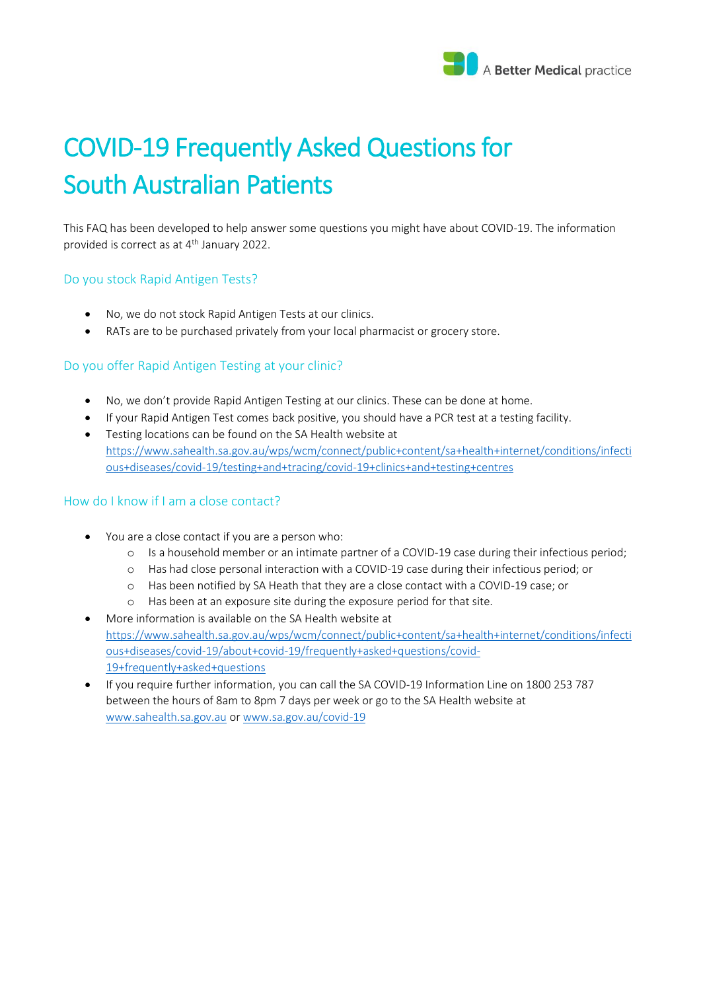

# COVID-19 Frequently Asked Questions for South Australian Patients

This FAQ has been developed to help answer some questions you might have about COVID-19. The information provided is correct as at 4th January 2022.

## Do you stock Rapid Antigen Tests?

- No, we do not stock Rapid Antigen Tests at our clinics.
- RATs are to be purchased privately from your local pharmacist or grocery store.

# Do you offer Rapid Antigen Testing at your clinic?

- No, we don't provide Rapid Antigen Testing at our clinics. These can be done at home.
- If your Rapid Antigen Test comes back positive, you should have a PCR test at a testing facility.
- Testing locations can be found on the SA Health website at [https://www.sahealth.sa.gov.au/wps/wcm/connect/public+content/sa+health+internet/conditions/infecti](https://www.sahealth.sa.gov.au/wps/wcm/connect/public+content/sa+health+internet/conditions/infectious+diseases/covid-19/testing+and+tracing/covid-19+clinics+and+testing+centres) [ous+diseases/covid-19/testing+and+tracing/covid-19+clinics+and+testing+centres](https://www.sahealth.sa.gov.au/wps/wcm/connect/public+content/sa+health+internet/conditions/infectious+diseases/covid-19/testing+and+tracing/covid-19+clinics+and+testing+centres)

## How do I know if I am a close contact?

- You are a close contact if you are a person who:
	- o Is a household member or an intimate partner of a COVID-19 case during their infectious period;
	- o Has had close personal interaction with a COVID-19 case during their infectious period; or
	- o Has been notified by SA Heath that they are a close contact with a COVID-19 case; or
	- o Has been at an exposure site during the exposure period for that site.
- More information is available on the SA Health website at [https://www.sahealth.sa.gov.au/wps/wcm/connect/public+content/sa+health+internet/conditions/infecti](https://www.sahealth.sa.gov.au/wps/wcm/connect/public+content/sa+health+internet/conditions/infectious+diseases/covid-19/about+covid-19/frequently+asked+questions/covid-19+frequently+asked+questions) [ous+diseases/covid-19/about+covid-19/frequently+asked+questions/covid-](https://www.sahealth.sa.gov.au/wps/wcm/connect/public+content/sa+health+internet/conditions/infectious+diseases/covid-19/about+covid-19/frequently+asked+questions/covid-19+frequently+asked+questions)[19+frequently+asked+questions](https://www.sahealth.sa.gov.au/wps/wcm/connect/public+content/sa+health+internet/conditions/infectious+diseases/covid-19/about+covid-19/frequently+asked+questions/covid-19+frequently+asked+questions)
- If you require further information, you can call the SA COVID-19 Information Line on 1800 253 787 between the hours of 8am to 8pm 7 days per week or go to the SA Health website at [www.sahealth.sa.gov.au](https://l.facebook.com/l.php?u=http%3A%2F%2Fwww.sahealth.sa.gov.au%2F%3Ffbclid%3DIwAR3oyq5i7-bCADlimQfa1f6VAmdJ0sPchJqNzURazZFfqbqneZ8ZHj9HsDQ&h=AT0WikNFnbif-WGhPPanOd8ehrmCDfsIUhGypZPK4aw9vKYiciWPkQmu2912iWnPOFwy1NpV43ey57sSmEQBnE9QUL2vhK7Z3ZbRy8SCXxUEzwAQ4UbGxzeqeMzGg7WelA&__tn__=-UK-y-R&c%5b0%5d=AT0r4-EqlGVRLE593dpOSQ1qKyLxgK-CwJBJZFXdUO_hfi0tU791uAKgYrWmka92eeVym7ifN4jurjfEsISuODuSZFP197MDs7gjDAzJSSKAfE2SndBMu0P_Y_ZkSPeLdoDVWA5It8fry89SRyzq9fGL8CvXWdgVWVxS_MyQ3z6WaTIMpZVdJT_lhiBhVqhm5yYXUw) o[r www.sa.gov.au/covid-19](http://www.sa.gov.au/covid-19?fbclid=IwAR1H9wxGJhgRHd2HJVCExmgQ3R0cgujnHtDFiWQQr-i1snVnxZ3LNQj68A8)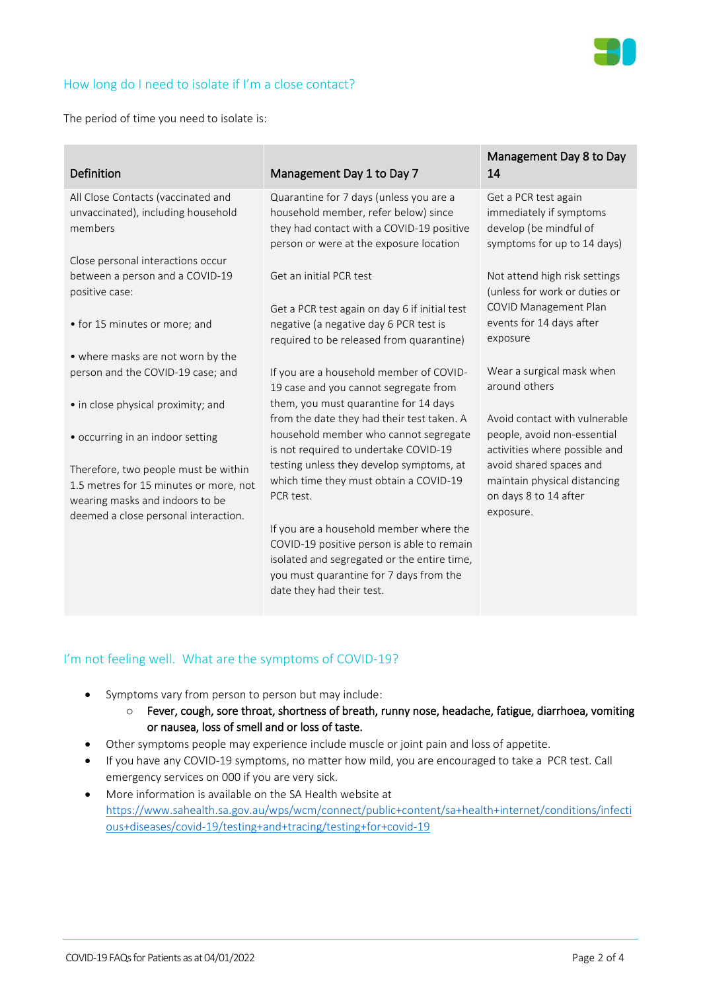

# How long do I need to isolate if I'm a close contact?

The period of time you need to isolate is:

| Definition                                                                                                                                                | Management Day 1 to Day 7                                                                                                                                               | Management Day 8 to Day<br>14                                                                            |
|-----------------------------------------------------------------------------------------------------------------------------------------------------------|-------------------------------------------------------------------------------------------------------------------------------------------------------------------------|----------------------------------------------------------------------------------------------------------|
| All Close Contacts (vaccinated and<br>unvaccinated), including household<br>members                                                                       | Quarantine for 7 days (unless you are a<br>household member, refer below) since<br>they had contact with a COVID-19 positive<br>person or were at the exposure location | Get a PCR test again<br>immediately if symptoms<br>develop (be mindful of<br>symptoms for up to 14 days) |
| Close personal interactions occur                                                                                                                         |                                                                                                                                                                         |                                                                                                          |
| between a person and a COVID-19<br>positive case:                                                                                                         | Get an initial PCR test                                                                                                                                                 | Not attend high risk settings<br>(unless for work or duties or                                           |
| • for 15 minutes or more; and                                                                                                                             | Get a PCR test again on day 6 if initial test<br>negative (a negative day 6 PCR test is<br>required to be released from quarantine)                                     | COVID Management Plan<br>events for 14 days after<br>exposure                                            |
| • where masks are not worn by the                                                                                                                         |                                                                                                                                                                         |                                                                                                          |
| person and the COVID-19 case; and                                                                                                                         | If you are a household member of COVID-<br>19 case and you cannot segregate from                                                                                        | Wear a surgical mask when<br>around others                                                               |
| • in close physical proximity; and                                                                                                                        | them, you must quarantine for 14 days<br>from the date they had their test taken. A                                                                                     | Avoid contact with vulnerable                                                                            |
| • occurring in an indoor setting                                                                                                                          | household member who cannot segregate<br>is not required to undertake COVID-19                                                                                          | people, avoid non-essential<br>activities where possible and                                             |
| Therefore, two people must be within<br>1.5 metres for 15 minutes or more, not<br>wearing masks and indoors to be<br>deemed a close personal interaction. | testing unless they develop symptoms, at<br>which time they must obtain a COVID-19<br>PCR test.                                                                         | avoid shared spaces and<br>maintain physical distancing<br>on days 8 to 14 after<br>exposure.            |
|                                                                                                                                                           | If you are a household member where the                                                                                                                                 |                                                                                                          |
|                                                                                                                                                           | COVID-19 positive person is able to remain                                                                                                                              |                                                                                                          |
|                                                                                                                                                           | isolated and segregated or the entire time,                                                                                                                             |                                                                                                          |
|                                                                                                                                                           | you must quarantine for 7 days from the                                                                                                                                 |                                                                                                          |
|                                                                                                                                                           | date they had their test.                                                                                                                                               |                                                                                                          |

## I'm not feeling well. What are the symptoms of COVID-19?

- Symptoms vary from person to person but may include:
	- o Fever, cough, sore throat, shortness of breath, runny nose, headache, fatigue, diarrhoea, vomiting or nausea, loss of smell and or loss of taste.
- Other symptoms people may experience include muscle or joint pain and loss of appetite.
- If you have any COVID-19 symptoms, no matter how mild, you are encouraged to take a PCR test. Call emergency services on 000 if you are very sick.
- More information is available on the SA Health website at [https://www.sahealth.sa.gov.au/wps/wcm/connect/public+content/sa+health+internet/conditions/infecti](https://www.sahealth.sa.gov.au/wps/wcm/connect/public+content/sa+health+internet/conditions/infectious+diseases/covid-19/testing+and+tracing/testing+for+covid-19) [ous+diseases/covid-19/testing+and+tracing/testing+for+covid-19](https://www.sahealth.sa.gov.au/wps/wcm/connect/public+content/sa+health+internet/conditions/infectious+diseases/covid-19/testing+and+tracing/testing+for+covid-19)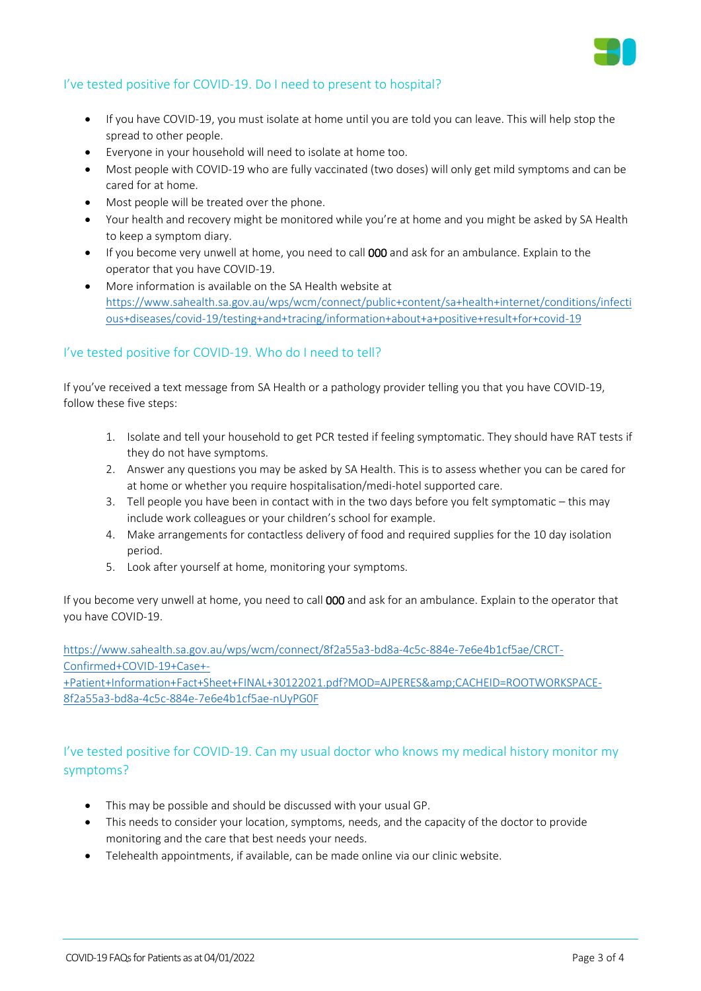

# I've tested positive for COVID-19. Do I need to present to hospital?

- If you have COVID-19, you must isolate at home until you are told you can leave. This will help stop the spread to other people.
- Everyone in your household will need to isolate at home too.
- Most people with COVID-19 who are fully vaccinated (two doses) will only get mild symptoms and can be cared for at home.
- Most people will be treated over the phone.
- Your health and recovery might be monitored while you're at home and you might be asked by SA Health to keep a symptom diary.
- If you become very unwell at home, you need to call 000 and ask for an ambulance. Explain to the operator that you have COVID-19.
- More information is available on the SA Health website at [https://www.sahealth.sa.gov.au/wps/wcm/connect/public+content/sa+health+internet/conditions/infecti](https://www.sahealth.sa.gov.au/wps/wcm/connect/public+content/sa+health+internet/conditions/infectious+diseases/covid-19/testing+and+tracing/information+about+a+positive+result+for+covid-19) [ous+diseases/covid-19/testing+and+tracing/information+about+a+positive+result+for+covid-19](https://www.sahealth.sa.gov.au/wps/wcm/connect/public+content/sa+health+internet/conditions/infectious+diseases/covid-19/testing+and+tracing/information+about+a+positive+result+for+covid-19)

# I've tested positive for COVID-19. Who do I need to tell?

If you've received a text message from SA Health or a pathology provider telling you that you have COVID-19, follow these five steps:

- 1. Isolate and tell your household to get PCR tested if feeling symptomatic. They should have RAT tests if they do not have symptoms.
- 2. Answer any questions you may be asked by SA Health. This is to assess whether you can be cared for at home or whether you require hospitalisation/medi-hotel supported care.
- 3. Tell people you have been in contact with in the two days before you felt symptomatic this may include work colleagues or your children's school for example.
- 4. Make arrangements for contactless delivery of food and required supplies for the 10 day isolation period.
- 5. Look after yourself at home, monitoring your symptoms.

If you become very unwell at home, you need to call 000 and ask for an ambulance. Explain to the operator that you have COVID-19.

[https://www.sahealth.sa.gov.au/wps/wcm/connect/8f2a55a3-bd8a-4c5c-884e-7e6e4b1cf5ae/CRCT-](https://www.sahealth.sa.gov.au/wps/wcm/connect/8f2a55a3-bd8a-4c5c-884e-7e6e4b1cf5ae/CRCT-Confirmed+COVID-19+Case+-+Patient+Information+Fact+Sheet+FINAL+30122021.pdf?MOD=AJPERES&CACHEID=ROOTWORKSPACE-8f2a55a3-bd8a-4c5c-884e-7e6e4b1cf5ae-nUyPG0F)[Confirmed+COVID-19+Case+-](https://www.sahealth.sa.gov.au/wps/wcm/connect/8f2a55a3-bd8a-4c5c-884e-7e6e4b1cf5ae/CRCT-Confirmed+COVID-19+Case+-+Patient+Information+Fact+Sheet+FINAL+30122021.pdf?MOD=AJPERES&CACHEID=ROOTWORKSPACE-8f2a55a3-bd8a-4c5c-884e-7e6e4b1cf5ae-nUyPG0F)

[+Patient+Information+Fact+Sheet+FINAL+30122021.pdf?MOD=AJPERES&CACHEID=ROOTWORKSPACE-](https://www.sahealth.sa.gov.au/wps/wcm/connect/8f2a55a3-bd8a-4c5c-884e-7e6e4b1cf5ae/CRCT-Confirmed+COVID-19+Case+-+Patient+Information+Fact+Sheet+FINAL+30122021.pdf?MOD=AJPERES&CACHEID=ROOTWORKSPACE-8f2a55a3-bd8a-4c5c-884e-7e6e4b1cf5ae-nUyPG0F)[8f2a55a3-bd8a-4c5c-884e-7e6e4b1cf5ae-nUyPG0F](https://www.sahealth.sa.gov.au/wps/wcm/connect/8f2a55a3-bd8a-4c5c-884e-7e6e4b1cf5ae/CRCT-Confirmed+COVID-19+Case+-+Patient+Information+Fact+Sheet+FINAL+30122021.pdf?MOD=AJPERES&CACHEID=ROOTWORKSPACE-8f2a55a3-bd8a-4c5c-884e-7e6e4b1cf5ae-nUyPG0F)

# I've tested positive for COVID-19. Can my usual doctor who knows my medical history monitor my symptoms?

- This may be possible and should be discussed with your usual GP.
- This needs to consider your location, symptoms, needs, and the capacity of the doctor to provide monitoring and the care that best needs your needs.
- Telehealth appointments, if available, can be made online via our clinic website.